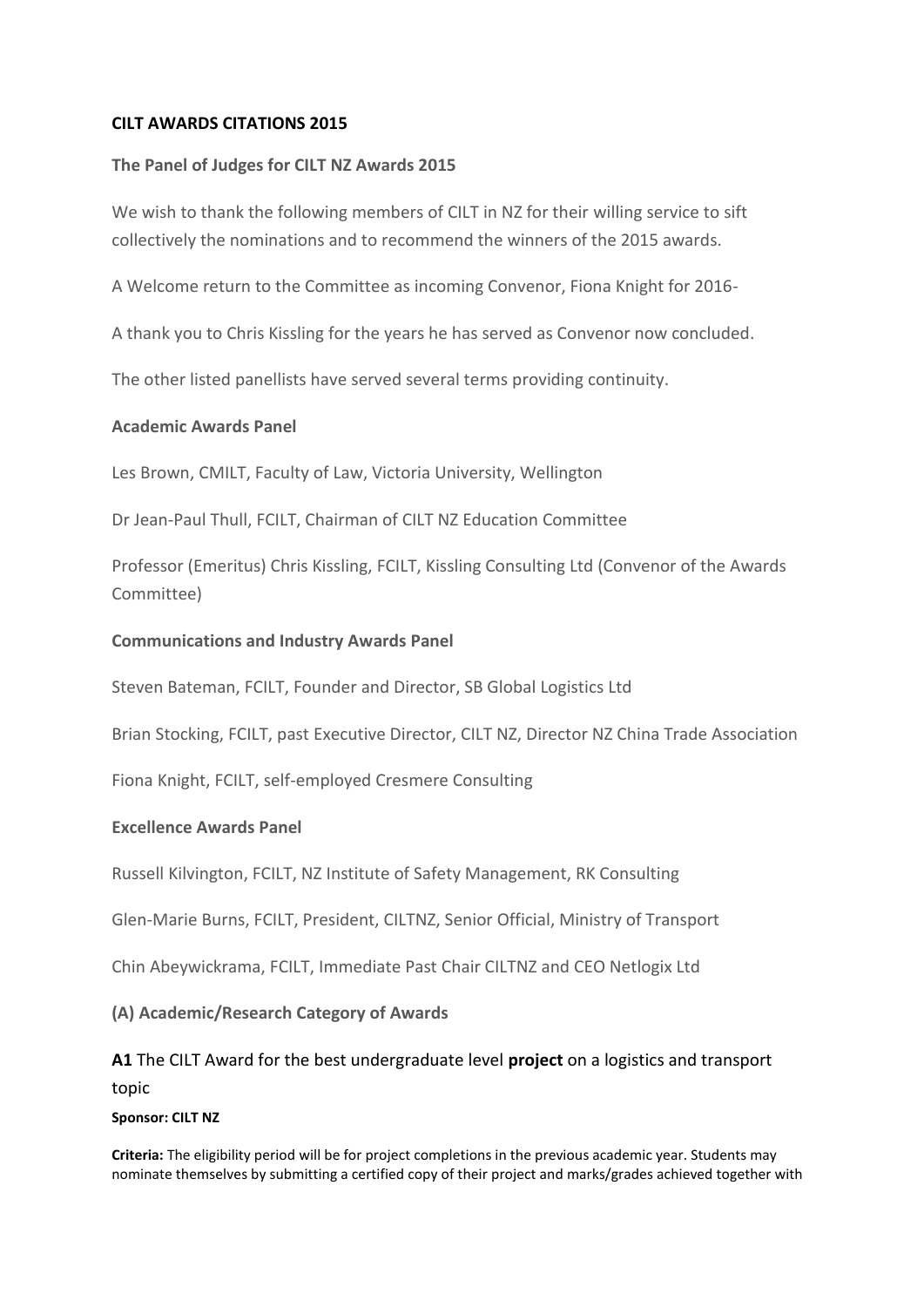## **CILT AWARDS CITATIONS 2015**

#### **The Panel of Judges for CILT NZ Awards 2015**

We wish to thank the following members of CILT in NZ for their willing service to sift collectively the nominations and to recommend the winners of the 2015 awards.

A Welcome return to the Committee as incoming Convenor, Fiona Knight for 2016-

A thank you to Chris Kissling for the years he has served as Convenor now concluded.

The other listed panellists have served several terms providing continuity.

#### **Academic Awards Panel**

Les Brown, CMILT, Faculty of Law, Victoria University, Wellington

Dr Jean-Paul Thull, FCILT, Chairman of CILT NZ Education Committee

Professor (Emeritus) Chris Kissling, FCILT, Kissling Consulting Ltd (Convenor of the Awards Committee)

#### **Communications and Industry Awards Panel**

Steven Bateman, FCILT, Founder and Director, SB Global Logistics Ltd

Brian Stocking, FCILT, past Executive Director, CILT NZ, Director NZ China Trade Association

Fiona Knight, FCILT, self-employed Cresmere Consulting

#### **Excellence Awards Panel**

Russell Kilvington, FCILT, NZ Institute of Safety Management, RK Consulting

Glen-Marie Burns, FCILT, President, CILTNZ, Senior Official, Ministry of Transport

Chin Abeywickrama, FCILT, Immediate Past Chair CILTNZ and CEO Netlogix Ltd

**(A) Academic/Research Category of Awards**

# **A1** The CILT Award for the best undergraduate level **project** on a logistics and transport topic

#### **Sponsor: CILT NZ**

**Criteria:** The eligibility period will be for project completions in the previous academic year. Students may nominate themselves by submitting a certified copy of their project and marks/grades achieved together with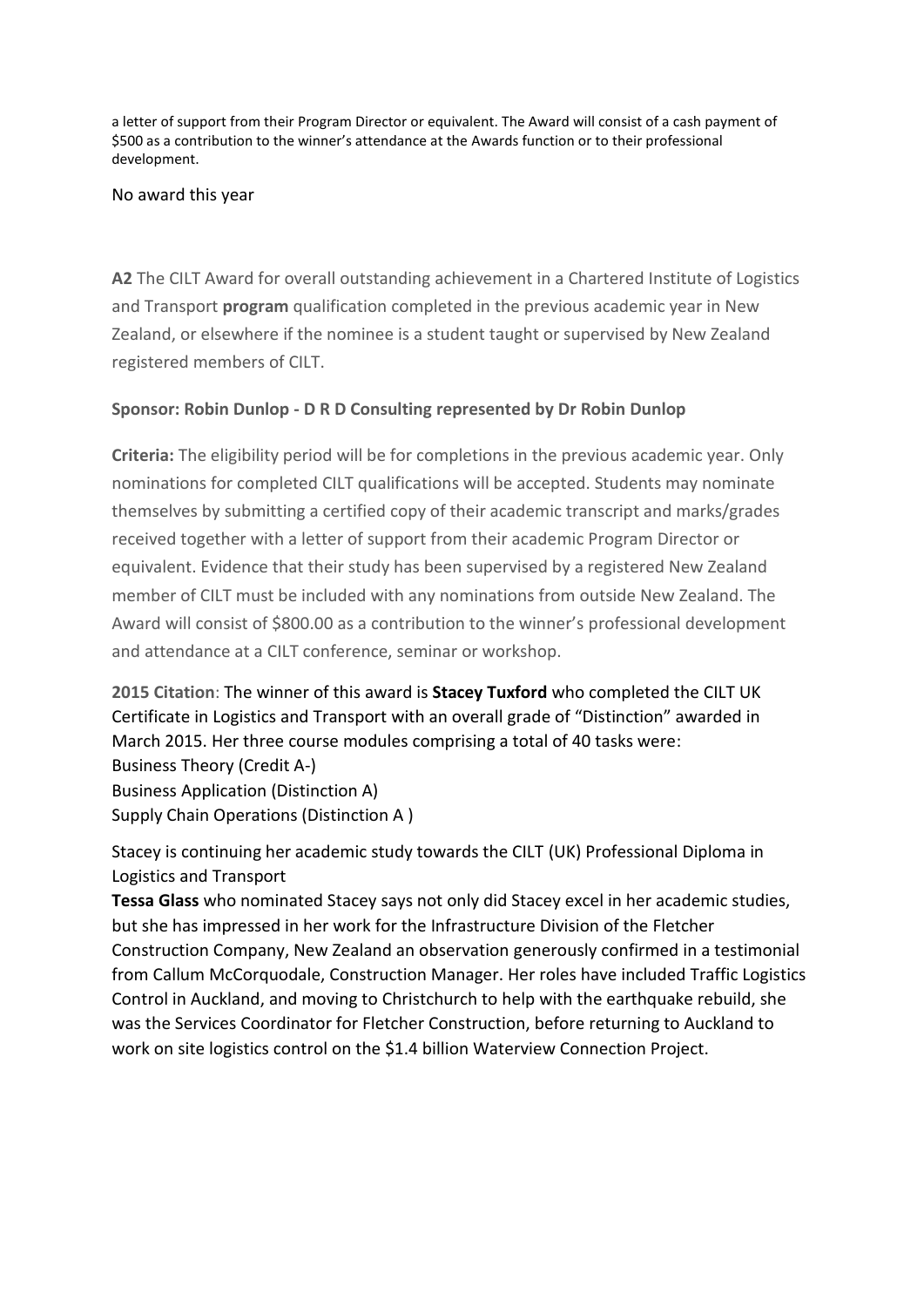a letter of support from their Program Director or equivalent. The Award will consist of a cash payment of \$500 as a contribution to the winner's attendance at the Awards function or to their professional development.

No award this year

**A2** The CILT Award for overall outstanding achievement in a Chartered Institute of Logistics and Transport **program** qualification completed in the previous academic year in New Zealand, or elsewhere if the nominee is a student taught or supervised by New Zealand registered members of CILT.

## **Sponsor: Robin Dunlop - D R D Consulting represented by Dr Robin Dunlop**

**Criteria:** The eligibility period will be for completions in the previous academic year. Only nominations for completed CILT qualifications will be accepted. Students may nominate themselves by submitting a certified copy of their academic transcript and marks/grades received together with a letter of support from their academic Program Director or equivalent. Evidence that their study has been supervised by a registered New Zealand member of CILT must be included with any nominations from outside New Zealand. The Award will consist of \$800.00 as a contribution to the winner's professional development and attendance at a CILT conference, seminar or workshop.

**2015 Citation**: The winner of this award is **Stacey Tuxford** who completed the CILT UK Certificate in Logistics and Transport with an overall grade of "Distinction" awarded in March 2015. Her three course modules comprising a total of 40 tasks were: Business Theory (Credit A-) Business Application (Distinction A) Supply Chain Operations (Distinction A )

Stacey is continuing her academic study towards the CILT (UK) Professional Diploma in Logistics and Transport

**Tessa Glass** who nominated Stacey says not only did Stacey excel in her academic studies, but she has impressed in her work for the Infrastructure Division of the Fletcher Construction Company, New Zealand an observation generously confirmed in a testimonial from Callum McCorquodale, Construction Manager. Her roles have included Traffic Logistics Control in Auckland, and moving to Christchurch to help with the earthquake rebuild, she was the Services Coordinator for Fletcher Construction, before returning to Auckland to work on site logistics control on the \$1.4 billion Waterview Connection Project.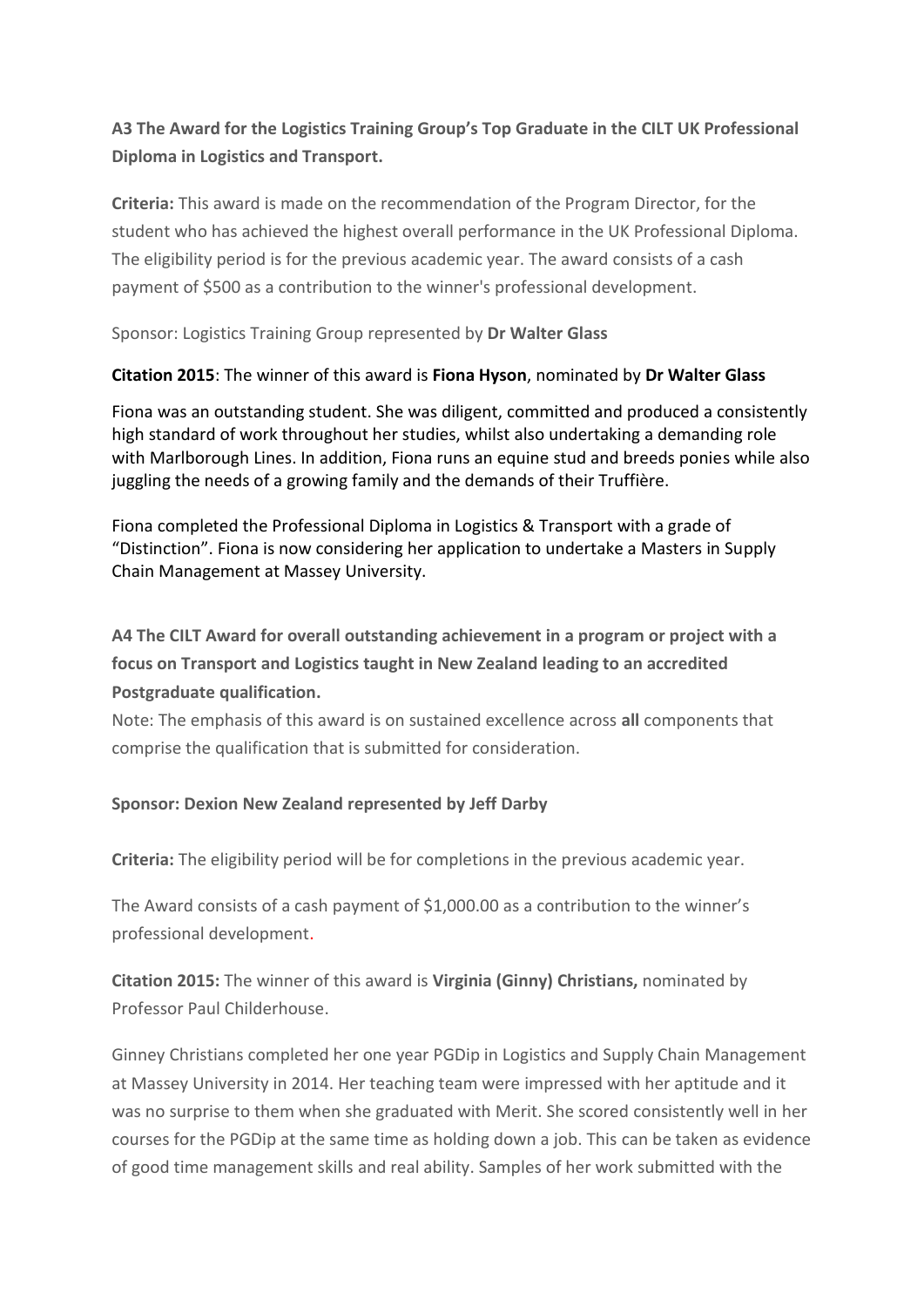# **A3 The Award for the Logistics Training Group's Top Graduate in the CILT UK Professional Diploma in Logistics and Transport.**

**Criteria:** This award is made on the recommendation of the Program Director, for the student who has achieved the highest overall performance in the UK Professional Diploma. The eligibility period is for the previous academic year. The award consists of a cash payment of \$500 as a contribution to the winner's professional development.

Sponsor: Logistics Training Group represented by **Dr Walter Glass**

## **Citation 2015**: The winner of this award is **Fiona Hyson**, nominated by **Dr Walter Glass**

Fiona was an outstanding student. She was diligent, committed and produced a consistently high standard of work throughout her studies, whilst also undertaking a demanding role with Marlborough Lines. In addition, Fiona runs an equine stud and breeds ponies while also juggling the needs of a growing family and the demands of their Truffière.

Fiona completed the Professional Diploma in Logistics & Transport with a grade of "Distinction". Fiona is now considering her application to undertake a Masters in Supply Chain Management at Massey University.

**A4 The CILT Award for overall outstanding achievement in a program or project with a focus on Transport and Logistics taught in New Zealand leading to an accredited Postgraduate qualification.**

Note: The emphasis of this award is on sustained excellence across **all** components that comprise the qualification that is submitted for consideration.

## **Sponsor: Dexion New Zealand represented by Jeff Darby**

**Criteria:** The eligibility period will be for completions in the previous academic year.

The Award consists of a cash payment of \$1,000.00 as a contribution to the winner's professional development.

**Citation 2015:** The winner of this award is **Virginia (Ginny) Christians,** nominated by Professor Paul Childerhouse.

Ginney Christians completed her one year PGDip in Logistics and Supply Chain Management at Massey University in 2014. Her teaching team were impressed with her aptitude and it was no surprise to them when she graduated with Merit. She scored consistently well in her courses for the PGDip at the same time as holding down a job. This can be taken as evidence of good time management skills and real ability. Samples of her work submitted with the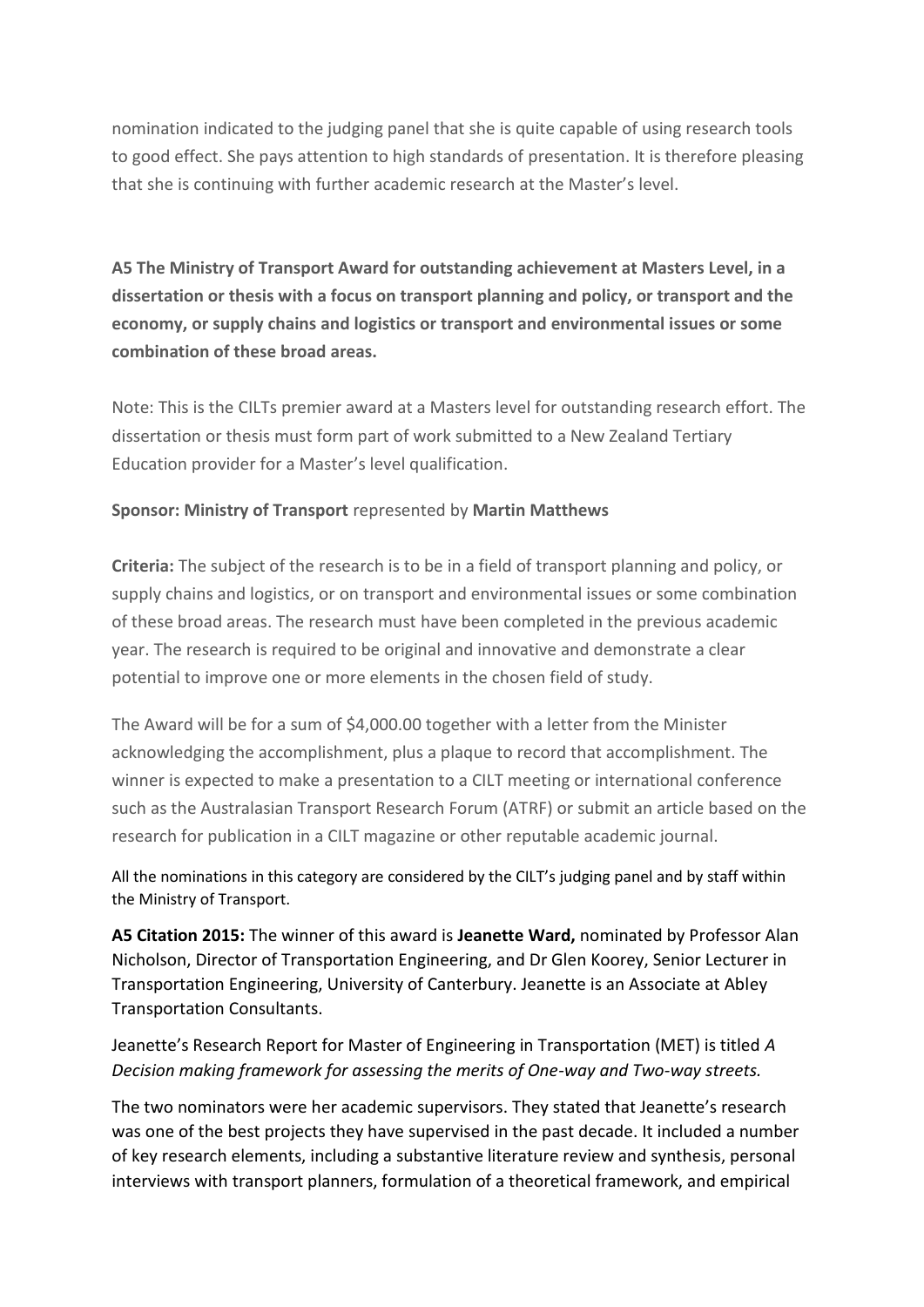nomination indicated to the judging panel that she is quite capable of using research tools to good effect. She pays attention to high standards of presentation. It is therefore pleasing that she is continuing with further academic research at the Master's level.

**A5 The Ministry of Transport Award for outstanding achievement at Masters Level, in a dissertation or thesis with a focus on transport planning and policy, or transport and the economy, or supply chains and logistics or transport and environmental issues or some combination of these broad areas.**

Note: This is the CILTs premier award at a Masters level for outstanding research effort. The dissertation or thesis must form part of work submitted to a New Zealand Tertiary Education provider for a Master's level qualification.

## **Sponsor: Ministry of Transport** represented by **Martin Matthews**

**Criteria:** The subject of the research is to be in a field of transport planning and policy, or supply chains and logistics, or on transport and environmental issues or some combination of these broad areas. The research must have been completed in the previous academic year. The research is required to be original and innovative and demonstrate a clear potential to improve one or more elements in the chosen field of study.

The Award will be for a sum of \$4,000.00 together with a letter from the Minister acknowledging the accomplishment, plus a plaque to record that accomplishment. The winner is expected to make a presentation to a CILT meeting or international conference such as the Australasian Transport Research Forum (ATRF) or submit an article based on the research for publication in a CILT magazine or other reputable academic journal.

All the nominations in this category are considered by the CILT's judging panel and by staff within the Ministry of Transport.

**A5 Citation 2015:** The winner of this award is **Jeanette Ward,** nominated by Professor Alan Nicholson, Director of Transportation Engineering, and Dr Glen Koorey, Senior Lecturer in Transportation Engineering, University of Canterbury. Jeanette is an Associate at Abley Transportation Consultants.

# Jeanette's Research Report for Master of Engineering in Transportation (MET) is titled *A Decision making framework for assessing the merits of One-way and Two-way streets.*

The two nominators were her academic supervisors. They stated that Jeanette's research was one of the best projects they have supervised in the past decade. It included a number of key research elements, including a substantive literature review and synthesis, personal interviews with transport planners, formulation of a theoretical framework, and empirical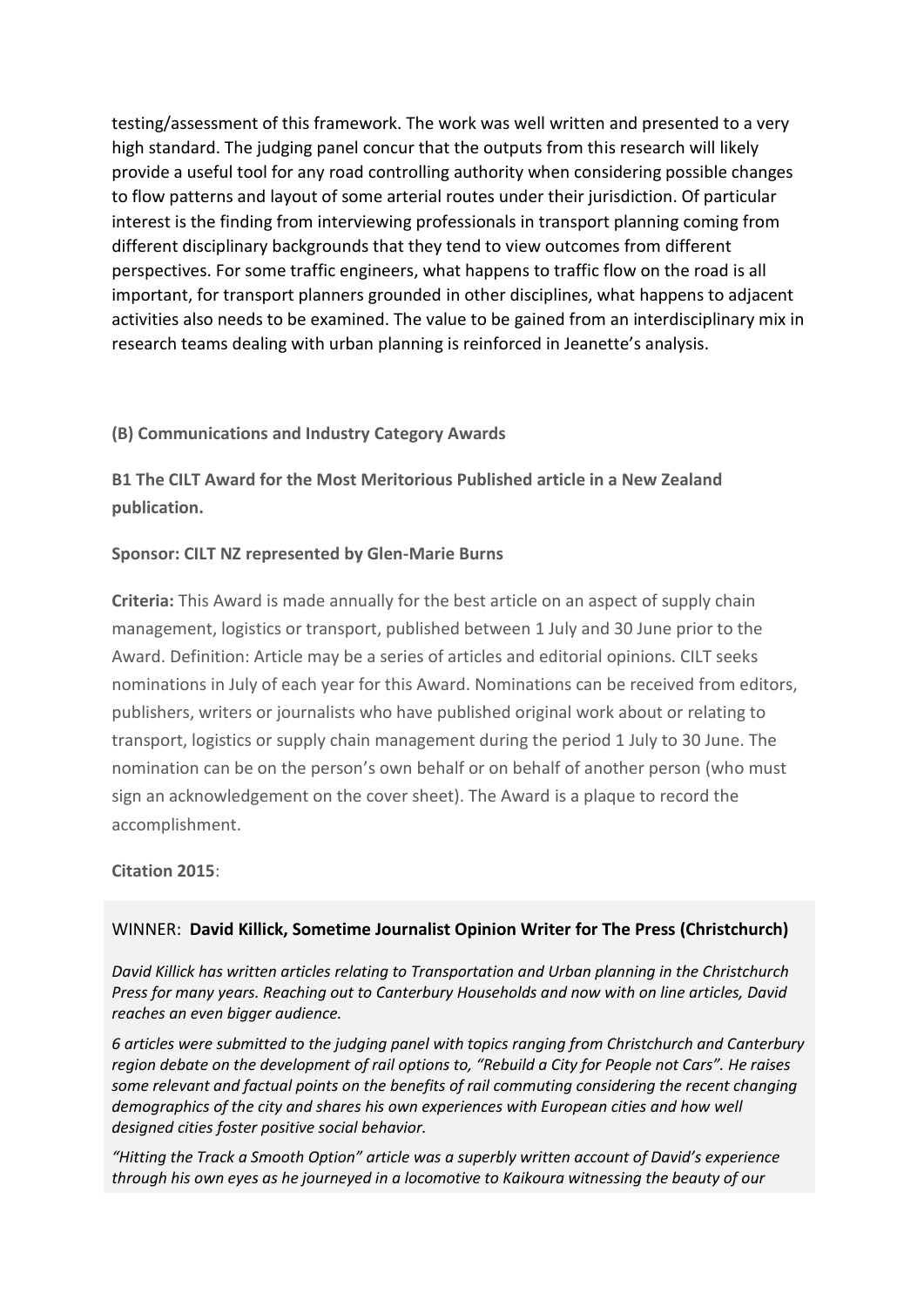testing/assessment of this framework. The work was well written and presented to a very high standard. The judging panel concur that the outputs from this research will likely provide a useful tool for any road controlling authority when considering possible changes to flow patterns and layout of some arterial routes under their jurisdiction. Of particular interest is the finding from interviewing professionals in transport planning coming from different disciplinary backgrounds that they tend to view outcomes from different perspectives. For some traffic engineers, what happens to traffic flow on the road is all important, for transport planners grounded in other disciplines, what happens to adjacent activities also needs to be examined. The value to be gained from an interdisciplinary mix in research teams dealing with urban planning is reinforced in Jeanette's analysis.

## **(B) Communications and Industry Category Awards**

**B1 The CILT Award for the Most Meritorious Published article in a New Zealand publication.**

## **Sponsor: CILT NZ represented by Glen-Marie Burns**

**Criteria:** This Award is made annually for the best article on an aspect of supply chain management, logistics or transport, published between 1 July and 30 June prior to the Award. Definition: Article may be a series of articles and editorial opinions. CILT seeks nominations in July of each year for this Award. Nominations can be received from editors, publishers, writers or journalists who have published original work about or relating to transport, logistics or supply chain management during the period 1 July to 30 June. The nomination can be on the person's own behalf or on behalf of another person (who must sign an acknowledgement on the cover sheet). The Award is a plaque to record the accomplishment.

## **Citation 2015**:

## WINNER: **David Killick, Sometime Journalist Opinion Writer for The Press (Christchurch)**

*David Killick has written articles relating to Transportation and Urban planning in the Christchurch Press for many years. Reaching out to Canterbury Households and now with on line articles, David reaches an even bigger audience.* 

*6 articles were submitted to the judging panel with topics ranging from Christchurch and Canterbury region debate on the development of rail options to, "Rebuild a City for People not Cars". He raises some relevant and factual points on the benefits of rail commuting considering the recent changing demographics of the city and shares his own experiences with European cities and how well designed cities foster positive social behavior.*

*"Hitting the Track a Smooth Option" article was a superbly written account of David's experience through his own eyes as he journeyed in a locomotive to Kaikoura witnessing the beauty of our*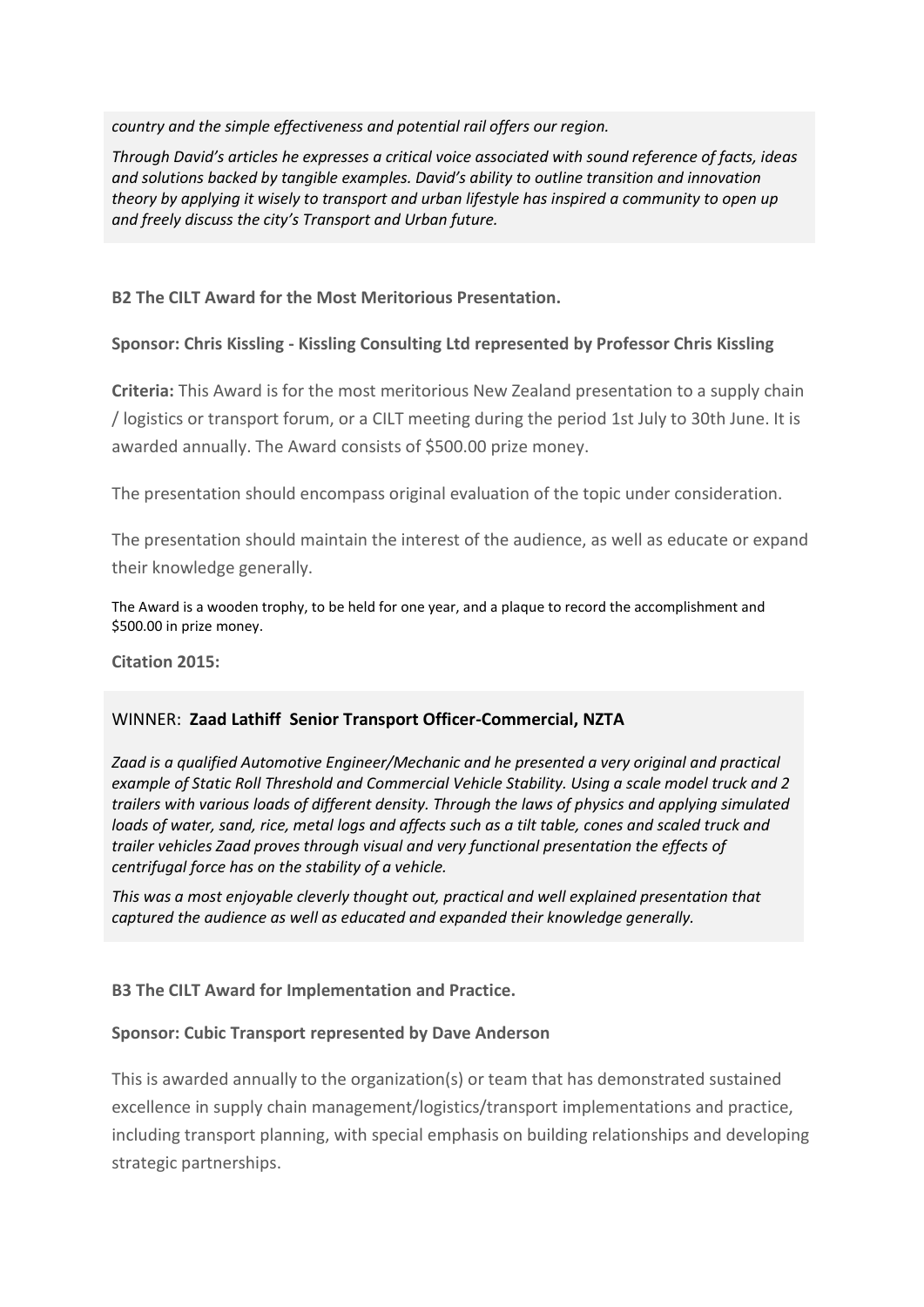*country and the simple effectiveness and potential rail offers our region.*

*Through David's articles he expresses a critical voice associated with sound reference of facts, ideas and solutions backed by tangible examples. David's ability to outline transition and innovation theory by applying it wisely to transport and urban lifestyle has inspired a community to open up and freely discuss the city's Transport and Urban future.*

**B2 The CILT Award for the Most Meritorious Presentation.**

### **Sponsor: Chris Kissling - Kissling Consulting Ltd represented by Professor Chris Kissling**

**Criteria:** This Award is for the most meritorious New Zealand presentation to a supply chain / logistics or transport forum, or a CILT meeting during the period 1st July to 30th June. It is awarded annually. The Award consists of \$500.00 prize money.

The presentation should encompass original evaluation of the topic under consideration.

The presentation should maintain the interest of the audience, as well as educate or expand their knowledge generally.

The Award is a wooden trophy, to be held for one year, and a plaque to record the accomplishment and \$500.00 in prize money.

**Citation 2015:**

## WINNER: **Zaad Lathiff Senior Transport Officer-Commercial, NZTA**

*Zaad is a qualified Automotive Engineer/Mechanic and he presented a very original and practical example of Static Roll Threshold and Commercial Vehicle Stability. Using a scale model truck and 2 trailers with various loads of different density. Through the laws of physics and applying simulated loads of water, sand, rice, metal logs and affects such as a tilt table, cones and scaled truck and trailer vehicles Zaad proves through visual and very functional presentation the effects of centrifugal force has on the stability of a vehicle.* 

*This was a most enjoyable cleverly thought out, practical and well explained presentation that captured the audience as well as educated and expanded their knowledge generally.*

**B3 The CILT Award for Implementation and Practice.**

#### **Sponsor: Cubic Transport represented by Dave Anderson**

This is awarded annually to the organization(s) or team that has demonstrated sustained excellence in supply chain management/logistics/transport implementations and practice, including transport planning, with special emphasis on building relationships and developing strategic partnerships.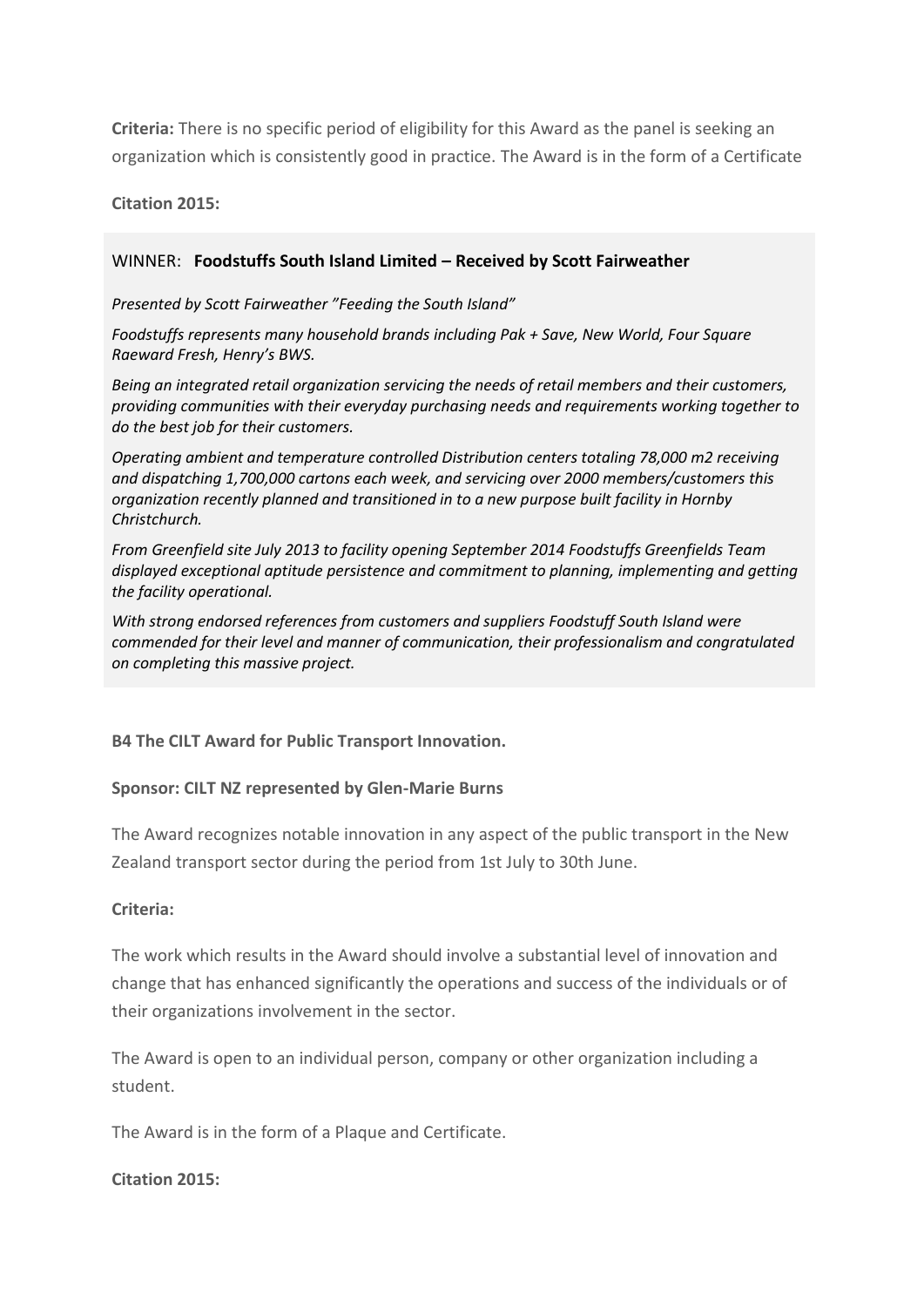**Criteria:** There is no specific period of eligibility for this Award as the panel is seeking an organization which is consistently good in practice. The Award is in the form of a Certificate

**Citation 2015:**

## WINNER: **Foodstuffs South Island Limited – Received by Scott Fairweather**

#### *Presented by Scott Fairweather "Feeding the South Island"*

*Foodstuffs represents many household brands including Pak + Save, New World, Four Square Raeward Fresh, Henry's BWS.* 

*Being an integrated retail organization servicing the needs of retail members and their customers, providing communities with their everyday purchasing needs and requirements working together to do the best job for their customers.* 

*Operating ambient and temperature controlled Distribution centers totaling 78,000 m2 receiving and dispatching 1,700,000 cartons each week, and servicing over 2000 members/customers this organization recently planned and transitioned in to a new purpose built facility in Hornby Christchurch.* 

*From Greenfield site July 2013 to facility opening September 2014 Foodstuffs Greenfields Team displayed exceptional aptitude persistence and commitment to planning, implementing and getting the facility operational.*

*With strong endorsed references from customers and suppliers Foodstuff South Island were commended for their level and manner of communication, their professionalism and congratulated on completing this massive project.*

## **B4 The CILT Award for Public Transport Innovation.**

## **Sponsor: CILT NZ represented by Glen-Marie Burns**

The Award recognizes notable innovation in any aspect of the public transport in the New Zealand transport sector during the period from 1st July to 30th June.

#### **Criteria:**

The work which results in the Award should involve a substantial level of innovation and change that has enhanced significantly the operations and success of the individuals or of their organizations involvement in the sector.

The Award is open to an individual person, company or other organization including a student.

The Award is in the form of a Plaque and Certificate.

#### **Citation 2015:**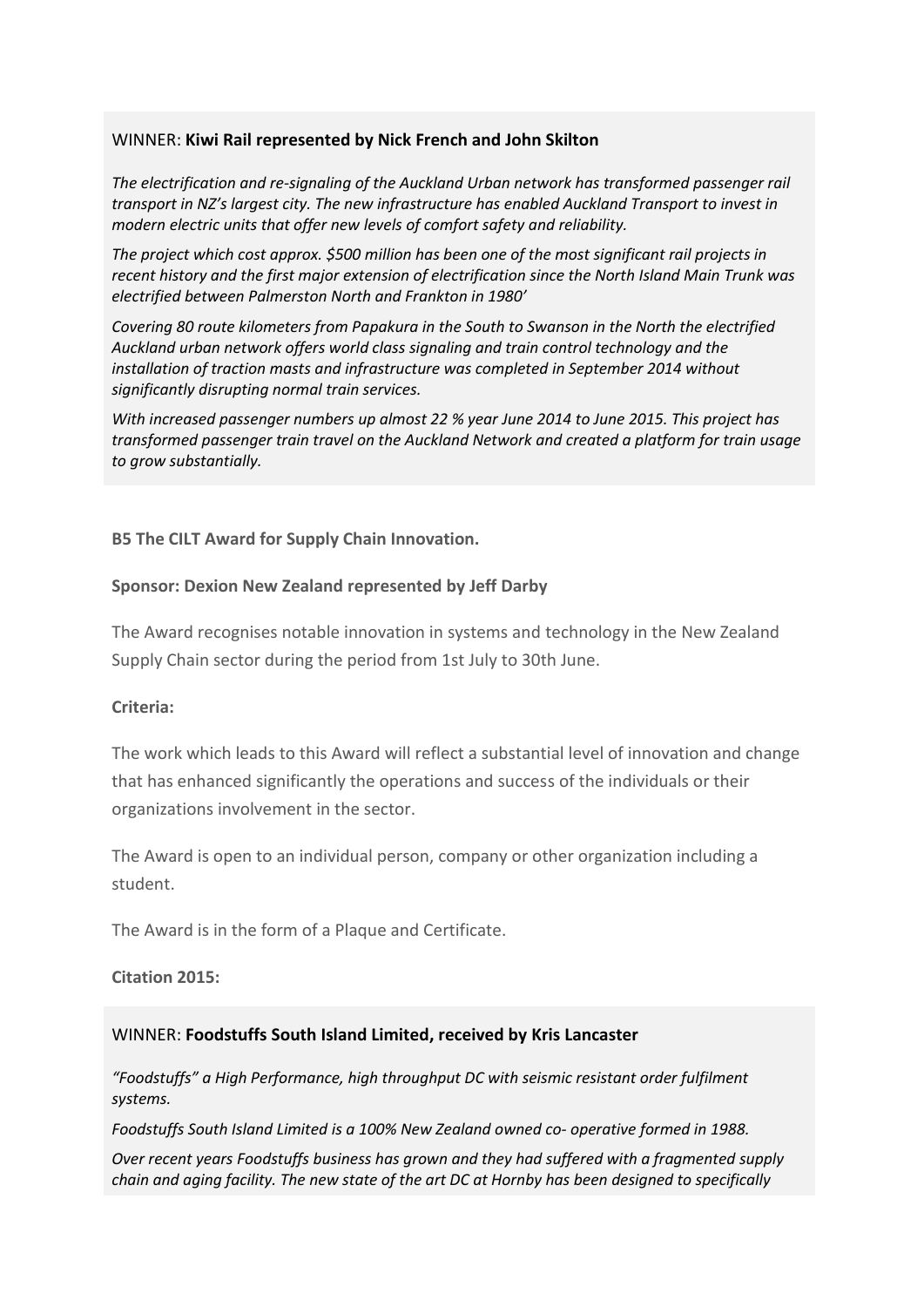#### WINNER: **Kiwi Rail represented by Nick French and John Skilton**

*The electrification and re-signaling of the Auckland Urban network has transformed passenger rail transport in NZ's largest city. The new infrastructure has enabled Auckland Transport to invest in modern electric units that offer new levels of comfort safety and reliability.*

*The project which cost approx. \$500 million has been one of the most significant rail projects in recent history and the first major extension of electrification since the North Island Main Trunk was electrified between Palmerston North and Frankton in 1980'*

*Covering 80 route kilometers from Papakura in the South to Swanson in the North the electrified Auckland urban network offers world class signaling and train control technology and the installation of traction masts and infrastructure was completed in September 2014 without significantly disrupting normal train services.*

*With increased passenger numbers up almost 22 % year June 2014 to June 2015. This project has transformed passenger train travel on the Auckland Network and created a platform for train usage to grow substantially.*

#### **B5 The CILT Award for Supply Chain Innovation.**

#### **Sponsor: Dexion New Zealand represented by Jeff Darby**

The Award recognises notable innovation in systems and technology in the New Zealand Supply Chain sector during the period from 1st July to 30th June.

#### **Criteria:**

The work which leads to this Award will reflect a substantial level of innovation and change that has enhanced significantly the operations and success of the individuals or their organizations involvement in the sector.

The Award is open to an individual person, company or other organization including a student.

The Award is in the form of a Plaque and Certificate.

#### **Citation 2015:**

#### WINNER: **Foodstuffs South Island Limited, received by Kris Lancaster**

*"Foodstuffs" a High Performance, high throughput DC with seismic resistant order fulfilment systems.*

*Foodstuffs South Island Limited is a 100% New Zealand owned co- operative formed in 1988.*

*Over recent years Foodstuffs business has grown and they had suffered with a fragmented supply chain and aging facility. The new state of the art DC at Hornby has been designed to specifically*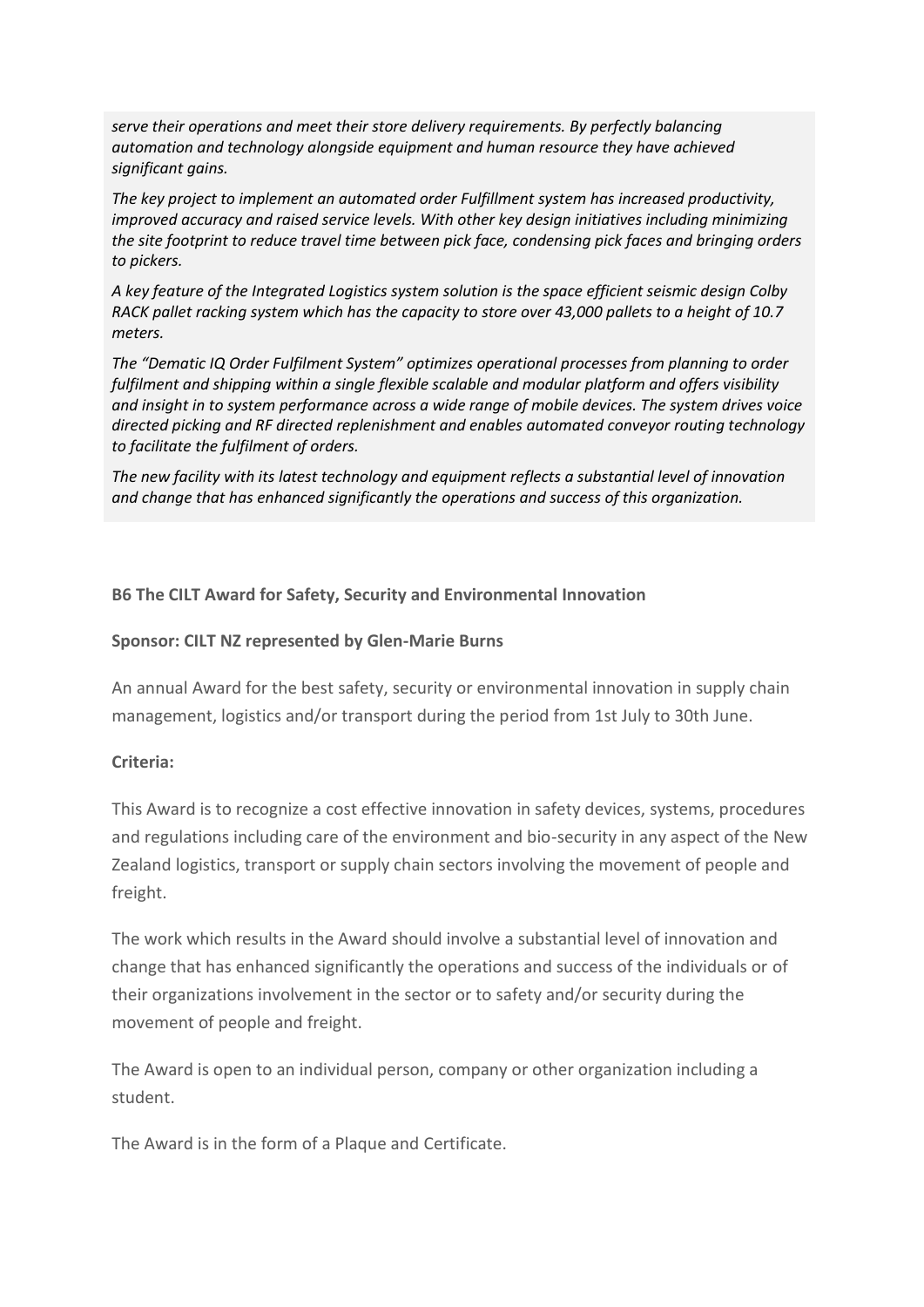*serve their operations and meet their store delivery requirements. By perfectly balancing automation and technology alongside equipment and human resource they have achieved significant gains.*

*The key project to implement an automated order Fulfillment system has increased productivity, improved accuracy and raised service levels. With other key design initiatives including minimizing the site footprint to reduce travel time between pick face, condensing pick faces and bringing orders to pickers.* 

*A key feature of the Integrated Logistics system solution is the space efficient seismic design Colby RACK pallet racking system which has the capacity to store over 43,000 pallets to a height of 10.7 meters.*

*The "Dematic IQ Order Fulfilment System" optimizes operational processes from planning to order fulfilment and shipping within a single flexible scalable and modular platform and offers visibility and insight in to system performance across a wide range of mobile devices. The system drives voice directed picking and RF directed replenishment and enables automated conveyor routing technology to facilitate the fulfilment of orders.*

*The new facility with its latest technology and equipment reflects a substantial level of innovation and change that has enhanced significantly the operations and success of this organization.*

## **B6 The CILT Award for Safety, Security and Environmental Innovation**

#### **Sponsor: CILT NZ represented by Glen-Marie Burns**

An annual Award for the best safety, security or environmental innovation in supply chain management, logistics and/or transport during the period from 1st July to 30th June.

#### **Criteria:**

This Award is to recognize a cost effective innovation in safety devices, systems, procedures and regulations including care of the environment and bio-security in any aspect of the New Zealand logistics, transport or supply chain sectors involving the movement of people and freight.

The work which results in the Award should involve a substantial level of innovation and change that has enhanced significantly the operations and success of the individuals or of their organizations involvement in the sector or to safety and/or security during the movement of people and freight.

The Award is open to an individual person, company or other organization including a student.

The Award is in the form of a Plaque and Certificate.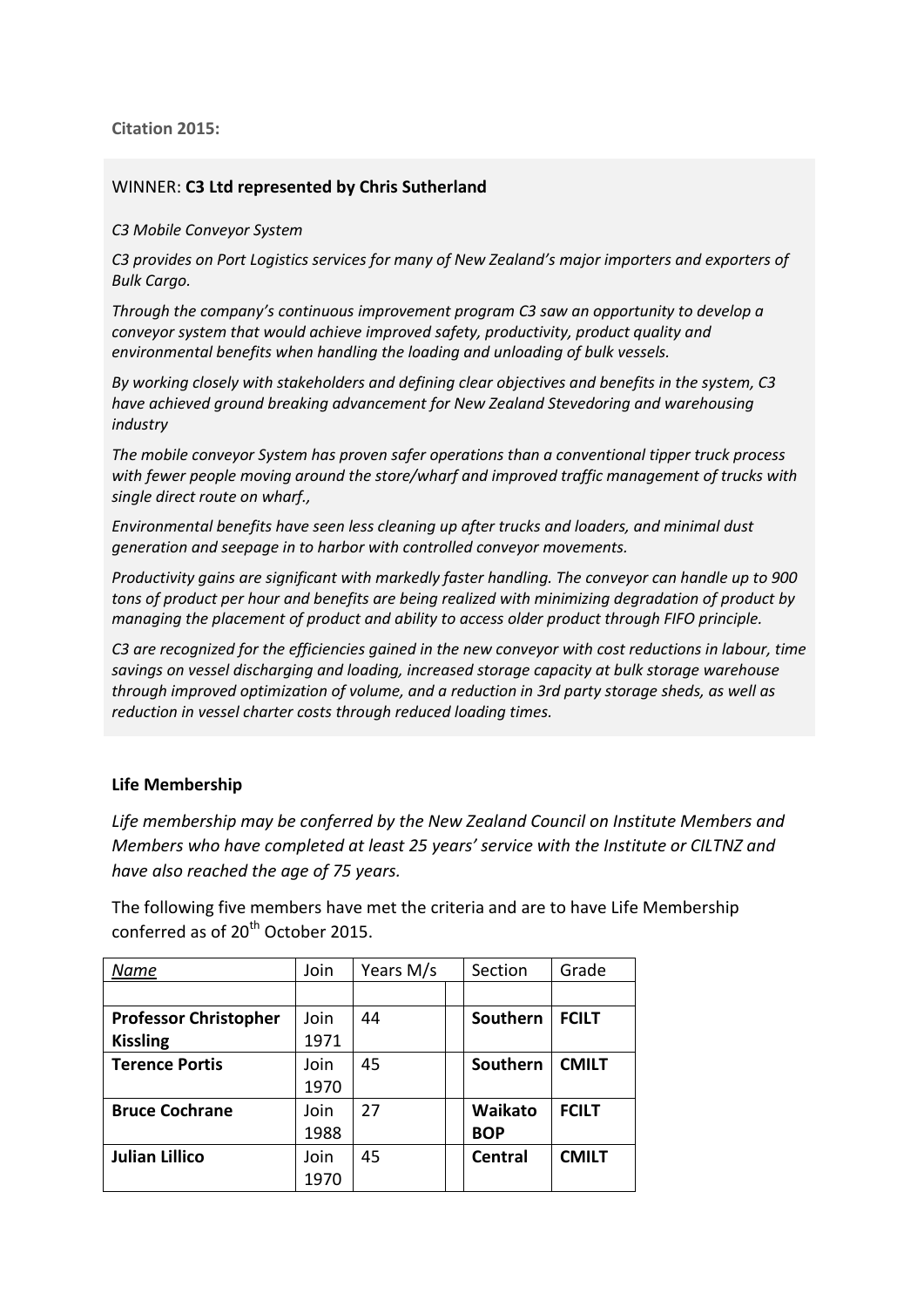**Citation 2015:**

### WINNER: **C3 Ltd represented by Chris Sutherland**

*C3 Mobile Conveyor System*

*C3 provides on Port Logistics services for many of New Zealand's major importers and exporters of Bulk Cargo.*

*Through the company's continuous improvement program C3 saw an opportunity to develop a conveyor system that would achieve improved safety, productivity, product quality and environmental benefits when handling the loading and unloading of bulk vessels.* 

*By working closely with stakeholders and defining clear objectives and benefits in the system, C3 have achieved ground breaking advancement for New Zealand Stevedoring and warehousing industry*

*The mobile conveyor System has proven safer operations than a conventional tipper truck process with fewer people moving around the store/wharf and improved traffic management of trucks with single direct route on wharf.,*

*Environmental benefits have seen less cleaning up after trucks and loaders, and minimal dust generation and seepage in to harbor with controlled conveyor movements.* 

*Productivity gains are significant with markedly faster handling. The conveyor can handle up to 900 tons of product per hour and benefits are being realized with minimizing degradation of product by managing the placement of product and ability to access older product through FIFO principle.* 

*C3 are recognized for the efficiencies gained in the new conveyor with cost reductions in labour, time savings on vessel discharging and loading, increased storage capacity at bulk storage warehouse through improved optimization of volume, and a reduction in 3rd party storage sheds, as well as reduction in vessel charter costs through reduced loading times.*

#### **Life Membership**

*Life membership may be conferred by the New Zealand Council on Institute Members and Members who have completed at least 25 years' service with the Institute or CILTNZ and have also reached the age of 75 years.* 

The following five members have met the criteria and are to have Life Membership conferred as of  $20<sup>th</sup>$  October 2015.

| Name                         | Join | Years M/s |  | Section        | Grade        |
|------------------------------|------|-----------|--|----------------|--------------|
|                              |      |           |  |                |              |
| <b>Professor Christopher</b> | Join | 44        |  | Southern       | <b>FCILT</b> |
| <b>Kissling</b>              | 1971 |           |  |                |              |
| <b>Terence Portis</b>        | Join | 45        |  | Southern       | <b>CMILT</b> |
|                              | 1970 |           |  |                |              |
| <b>Bruce Cochrane</b>        | Join | 27        |  | Waikato        | <b>FCILT</b> |
|                              | 1988 |           |  | <b>BOP</b>     |              |
| <b>Julian Lillico</b>        | Join | 45        |  | <b>Central</b> | <b>CMILT</b> |
|                              | 1970 |           |  |                |              |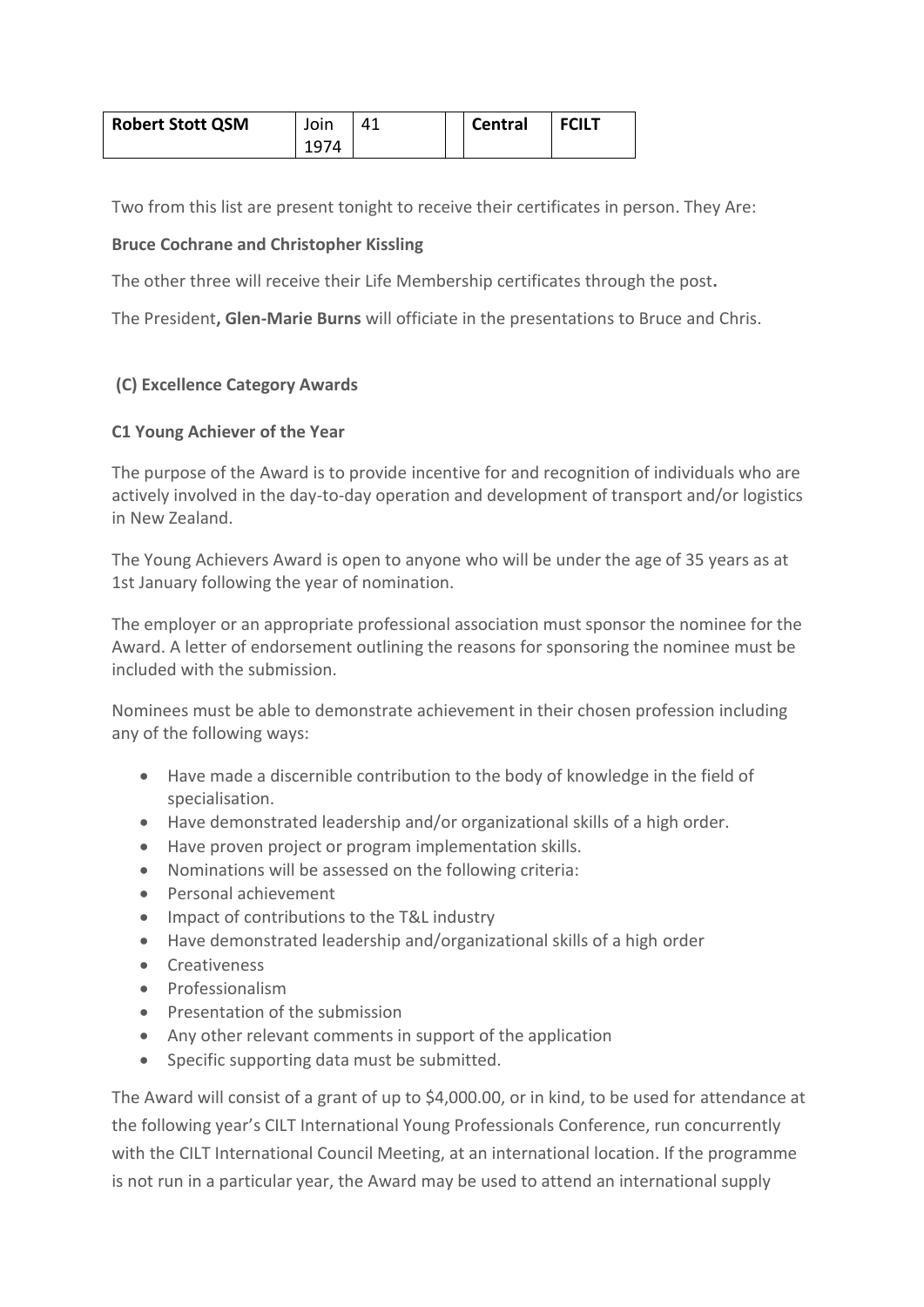| <b>Robert Stott QSM</b> | Join | 41 | <b>Central</b> | <b>FCILT</b> |
|-------------------------|------|----|----------------|--------------|
|                         | 1974 |    |                |              |

Two from this list are present tonight to receive their certificates in person. They Are:

## **Bruce Cochrane and Christopher Kissling**

The other three will receive their Life Membership certificates through the post**.**

The President**, Glen-Marie Burns** will officiate in the presentations to Bruce and Chris.

### **(C) Excellence Category Awards**

### **C1 Young Achiever of the Year**

The purpose of the Award is to provide incentive for and recognition of individuals who are actively involved in the day-to-day operation and development of transport and/or logistics in New Zealand.

The Young Achievers Award is open to anyone who will be under the age of 35 years as at 1st January following the year of nomination.

The employer or an appropriate professional association must sponsor the nominee for the Award. A letter of endorsement outlining the reasons for sponsoring the nominee must be included with the submission.

Nominees must be able to demonstrate achievement in their chosen profession including any of the following ways:

- Have made a discernible contribution to the body of knowledge in the field of specialisation.
- Have demonstrated leadership and/or organizational skills of a high order.
- Have proven project or program implementation skills.
- Nominations will be assessed on the following criteria:
- Personal achievement
- Impact of contributions to the T&L industry
- Have demonstrated leadership and/organizational skills of a high order
- **•** Creativeness
- Professionalism
- Presentation of the submission
- Any other relevant comments in support of the application
- Specific supporting data must be submitted.

The Award will consist of a grant of up to \$4,000.00, or in kind, to be used for attendance at the following year's CILT International Young Professionals Conference, run concurrently with the CILT International Council Meeting, at an international location. If the programme is not run in a particular year, the Award may be used to attend an international supply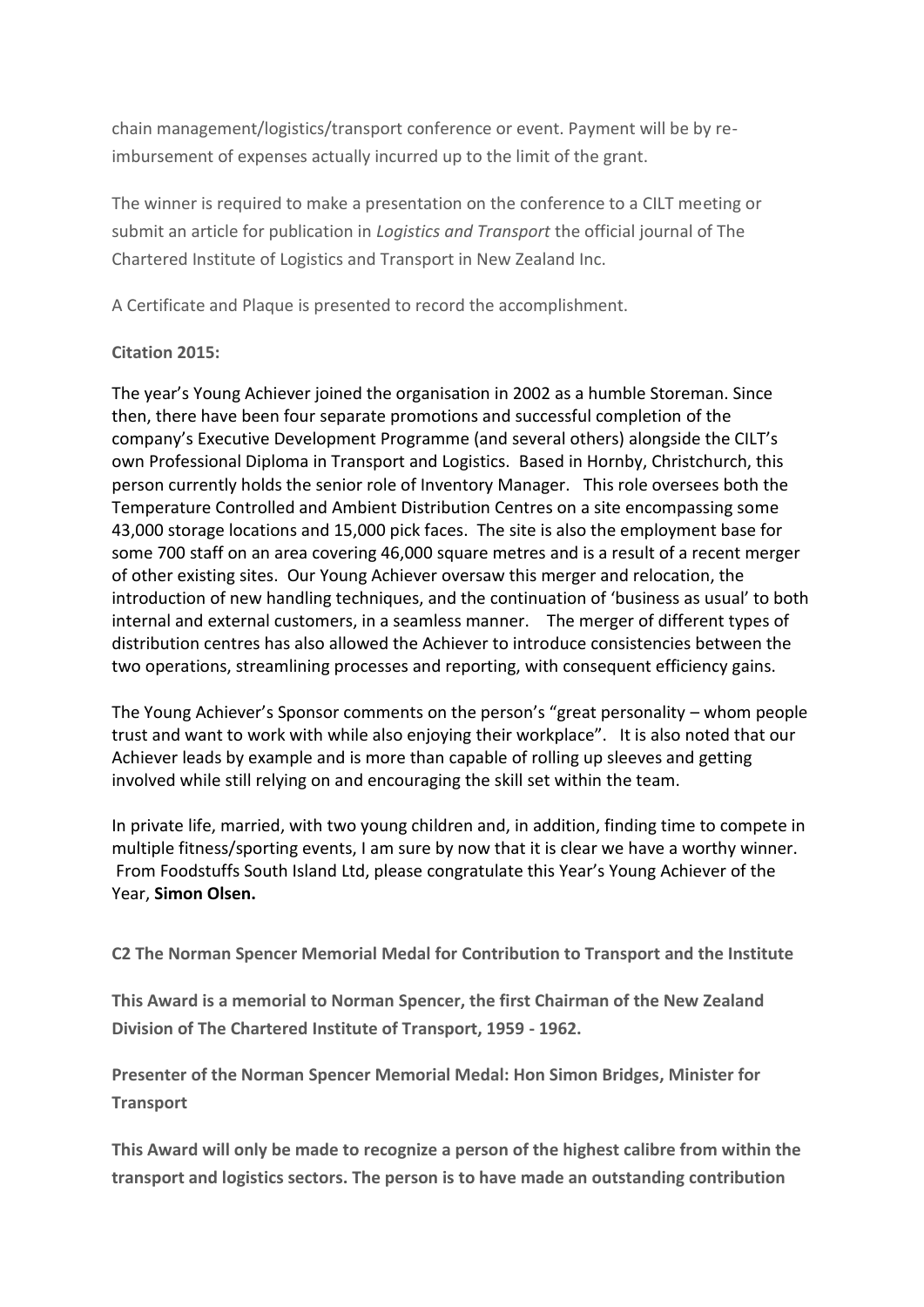chain management/logistics/transport conference or event. Payment will be by reimbursement of expenses actually incurred up to the limit of the grant.

The winner is required to make a presentation on the conference to a CILT meeting or submit an article for publication in *Logistics and Transport* the official journal of The Chartered Institute of Logistics and Transport in New Zealand Inc.

A Certificate and Plaque is presented to record the accomplishment.

## **Citation 2015:**

The year's Young Achiever joined the organisation in 2002 as a humble Storeman. Since then, there have been four separate promotions and successful completion of the company's Executive Development Programme (and several others) alongside the CILT's own Professional Diploma in Transport and Logistics. Based in Hornby, Christchurch, this person currently holds the senior role of Inventory Manager. This role oversees both the Temperature Controlled and Ambient Distribution Centres on a site encompassing some 43,000 storage locations and 15,000 pick faces. The site is also the employment base for some 700 staff on an area covering 46,000 square metres and is a result of a recent merger of other existing sites. Our Young Achiever oversaw this merger and relocation, the introduction of new handling techniques, and the continuation of 'business as usual' to both internal and external customers, in a seamless manner. The merger of different types of distribution centres has also allowed the Achiever to introduce consistencies between the two operations, streamlining processes and reporting, with consequent efficiency gains.

The Young Achiever's Sponsor comments on the person's "great personality – whom people trust and want to work with while also enjoying their workplace". It is also noted that our Achiever leads by example and is more than capable of rolling up sleeves and getting involved while still relying on and encouraging the skill set within the team.

In private life, married, with two young children and, in addition, finding time to compete in multiple fitness/sporting events, I am sure by now that it is clear we have a worthy winner. From Foodstuffs South Island Ltd, please congratulate this Year's Young Achiever of the Year, **Simon Olsen.**

**C2 The Norman Spencer Memorial Medal for Contribution to Transport and the Institute**

**This Award is a memorial to Norman Spencer, the first Chairman of the New Zealand Division of The Chartered Institute of Transport, 1959 - 1962.**

**Presenter of the Norman Spencer Memorial Medal: Hon Simon Bridges, Minister for Transport**

**This Award will only be made to recognize a person of the highest calibre from within the transport and logistics sectors. The person is to have made an outstanding contribution**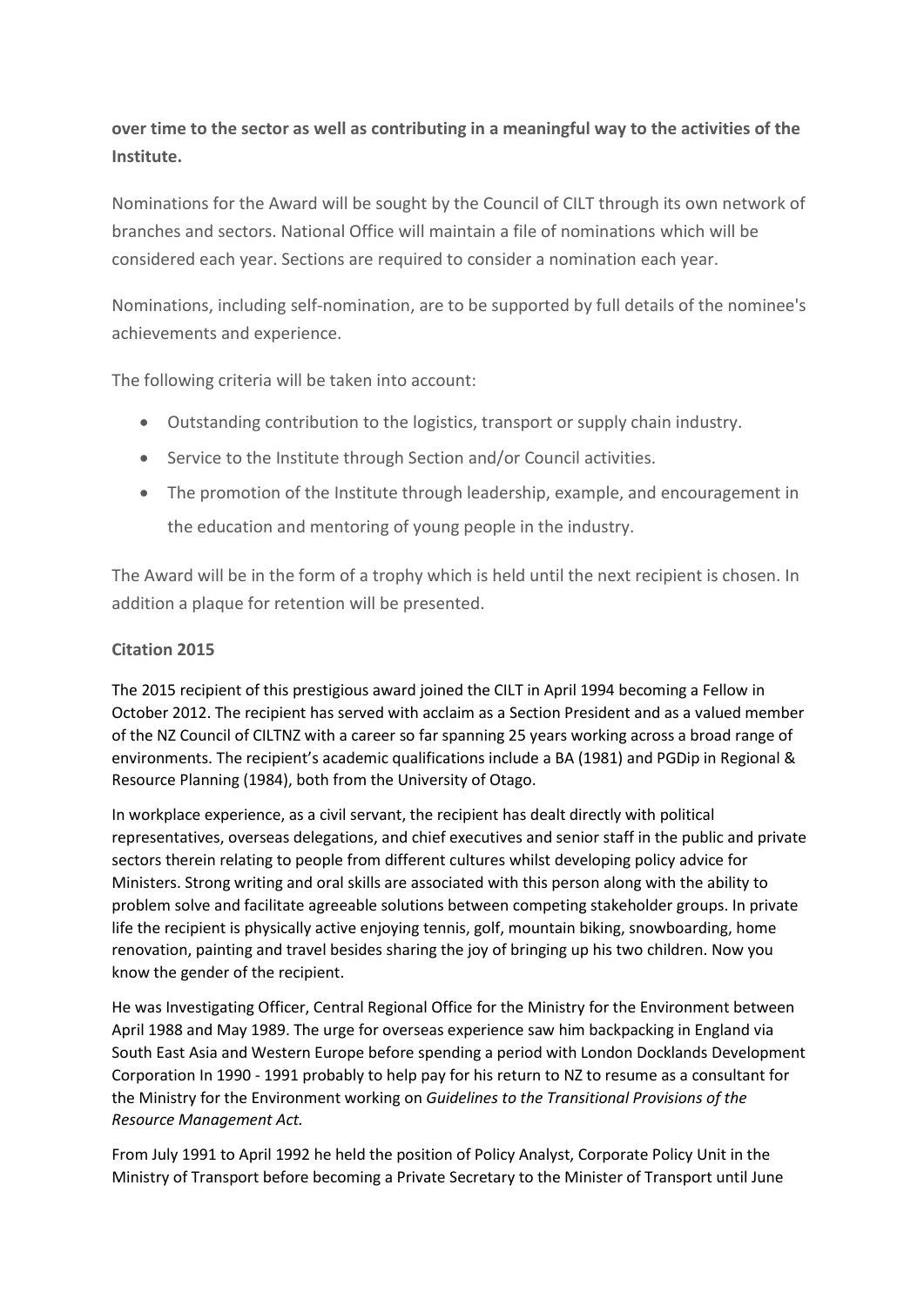# **over time to the sector as well as contributing in a meaningful way to the activities of the Institute.**

Nominations for the Award will be sought by the Council of CILT through its own network of branches and sectors. National Office will maintain a file of nominations which will be considered each year. Sections are required to consider a nomination each year.

Nominations, including self-nomination, are to be supported by full details of the nominee's achievements and experience.

The following criteria will be taken into account:

- Outstanding contribution to the logistics, transport or supply chain industry.
- Service to the Institute through Section and/or Council activities.
- The promotion of the Institute through leadership, example, and encouragement in the education and mentoring of young people in the industry.

The Award will be in the form of a trophy which is held until the next recipient is chosen. In addition a plaque for retention will be presented.

## **Citation 2015**

The 2015 recipient of this prestigious award joined the CILT in April 1994 becoming a Fellow in October 2012. The recipient has served with acclaim as a Section President and as a valued member of the NZ Council of CILTNZ with a career so far spanning 25 years working across a broad range of environments. The recipient's academic qualifications include a BA (1981) and PGDip in Regional & Resource Planning (1984), both from the University of Otago.

In workplace experience, as a civil servant, the recipient has dealt directly with political representatives, overseas delegations, and chief executives and senior staff in the public and private sectors therein relating to people from different cultures whilst developing policy advice for Ministers. Strong writing and oral skills are associated with this person along with the ability to problem solve and facilitate agreeable solutions between competing stakeholder groups. In private life the recipient is physically active enjoying tennis, golf, mountain biking, snowboarding, home renovation, painting and travel besides sharing the joy of bringing up his two children. Now you know the gender of the recipient.

He was Investigating Officer, Central Regional Office for the Ministry for the Environment between April 1988 and May 1989. The urge for overseas experience saw him backpacking in England via South East Asia and Western Europe before spending a period with London Docklands Development Corporation In 1990 - 1991 probably to help pay for his return to NZ to resume as a consultant for the Ministry for the Environment working on *Guidelines to the Transitional Provisions of the Resource Management Act.* 

From July 1991 to April 1992 he held the position of Policy Analyst, Corporate Policy Unit in the Ministry of Transport before becoming a Private Secretary to the Minister of Transport until June